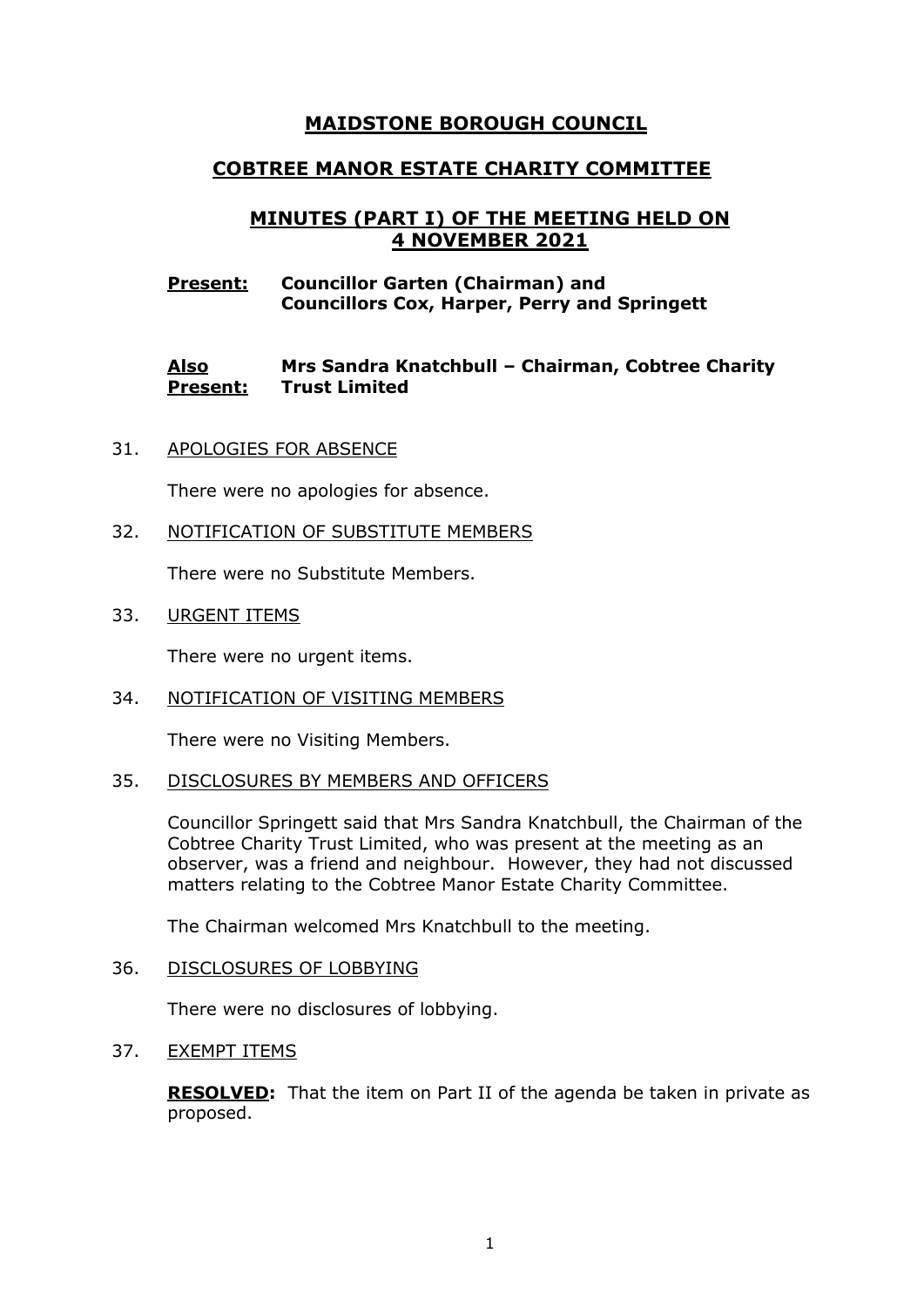# **MAIDSTONE BOROUGH COUNCIL**

# **COBTREE MANOR ESTATE CHARITY COMMITTEE**

# **MINUTES (PART I) OF THE MEETING HELD ON 4 NOVEMBER 2021**

## **Present: Councillor Garten (Chairman) and Councillors Cox, Harper, Perry and Springett**

#### **Also Present: Mrs Sandra Knatchbull – Chairman, Cobtree Charity Trust Limited**

31. APOLOGIES FOR ABSENCE

There were no apologies for absence.

32. NOTIFICATION OF SUBSTITUTE MEMBERS

There were no Substitute Members.

33. URGENT ITEMS

There were no urgent items.

34. NOTIFICATION OF VISITING MEMBERS

There were no Visiting Members.

35. DISCLOSURES BY MEMBERS AND OFFICERS

Councillor Springett said that Mrs Sandra Knatchbull, the Chairman of the Cobtree Charity Trust Limited, who was present at the meeting as an observer, was a friend and neighbour. However, they had not discussed matters relating to the Cobtree Manor Estate Charity Committee.

The Chairman welcomed Mrs Knatchbull to the meeting.

36. DISCLOSURES OF LOBBYING

There were no disclosures of lobbying.

37. EXEMPT ITEMS

**RESOLVED:** That the item on Part II of the agenda be taken in private as proposed.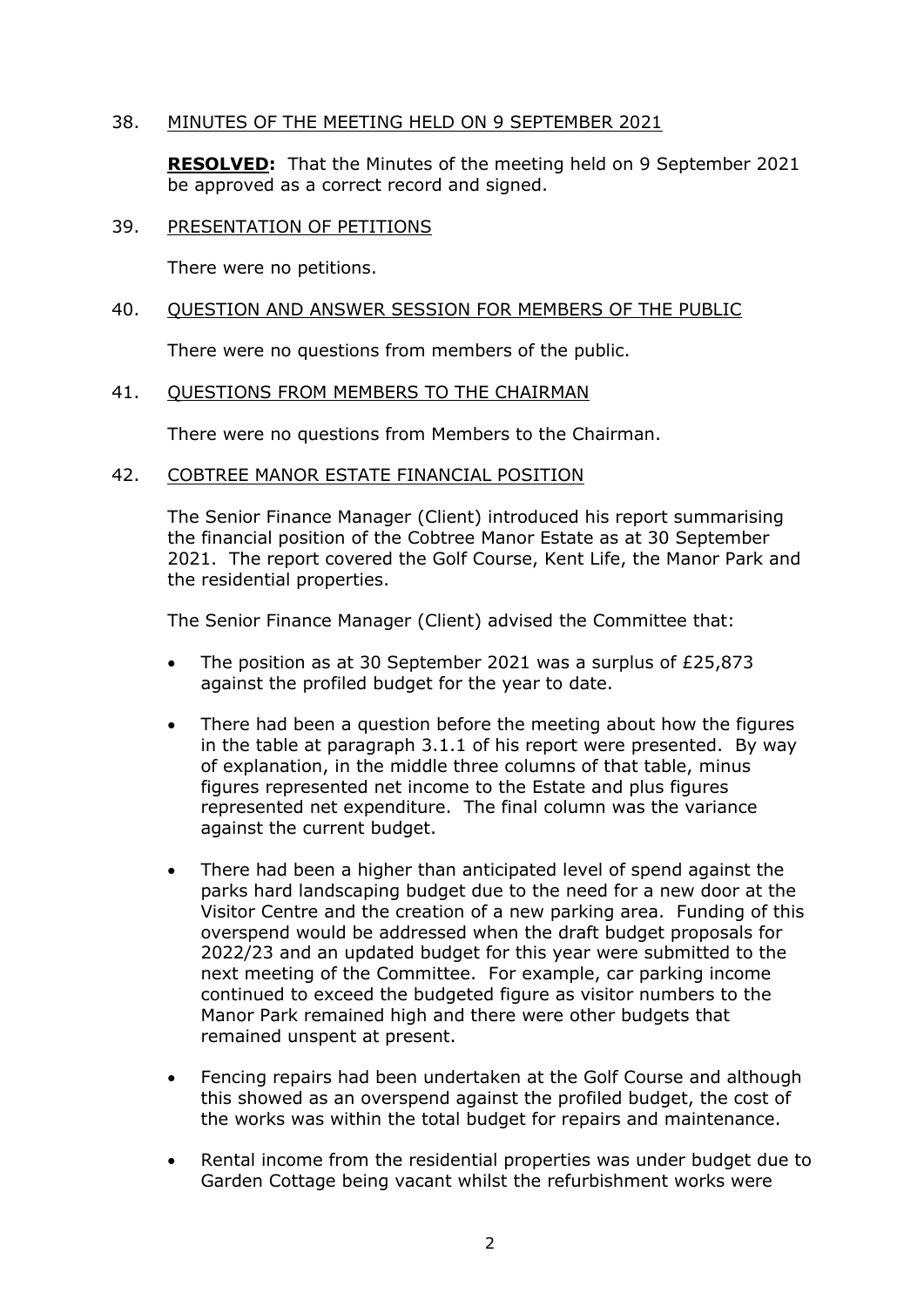# 38. MINUTES OF THE MEETING HELD ON 9 SEPTEMBER 2021

**RESOLVED:** That the Minutes of the meeting held on 9 September 2021 be approved as a correct record and signed.

### 39. PRESENTATION OF PETITIONS

There were no petitions.

## 40. QUESTION AND ANSWER SESSION FOR MEMBERS OF THE PUBLIC

There were no questions from members of the public.

# 41. QUESTIONS FROM MEMBERS TO THE CHAIRMAN

There were no questions from Members to the Chairman.

# 42. COBTREE MANOR ESTATE FINANCIAL POSITION

The Senior Finance Manager (Client) introduced his report summarising the financial position of the Cobtree Manor Estate as at 30 September 2021. The report covered the Golf Course, Kent Life, the Manor Park and the residential properties.

The Senior Finance Manager (Client) advised the Committee that:

- The position as at 30 September 2021 was a surplus of £25,873 against the profiled budget for the year to date.
- There had been a question before the meeting about how the figures in the table at paragraph 3.1.1 of his report were presented. By way of explanation, in the middle three columns of that table, minus figures represented net income to the Estate and plus figures represented net expenditure. The final column was the variance against the current budget.
- There had been a higher than anticipated level of spend against the parks hard landscaping budget due to the need for a new door at the Visitor Centre and the creation of a new parking area. Funding of this overspend would be addressed when the draft budget proposals for 2022/23 and an updated budget for this year were submitted to the next meeting of the Committee. For example, car parking income continued to exceed the budgeted figure as visitor numbers to the Manor Park remained high and there were other budgets that remained unspent at present.
- Fencing repairs had been undertaken at the Golf Course and although this showed as an overspend against the profiled budget, the cost of the works was within the total budget for repairs and maintenance.
- Rental income from the residential properties was under budget due to Garden Cottage being vacant whilst the refurbishment works were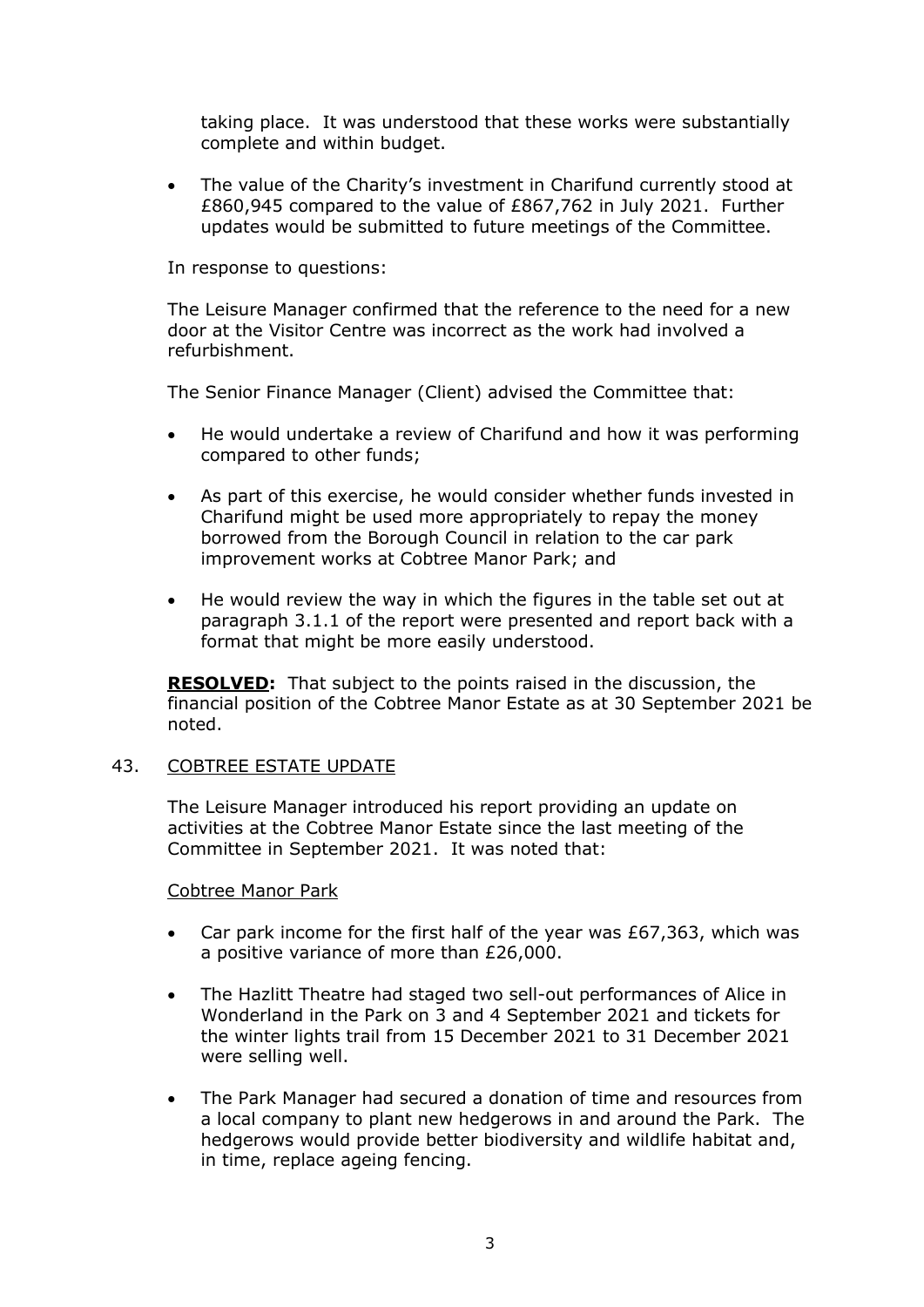taking place. It was understood that these works were substantially complete and within budget.

• The value of the Charity's investment in Charifund currently stood at £860,945 compared to the value of £867,762 in July 2021. Further updates would be submitted to future meetings of the Committee.

In response to questions:

The Leisure Manager confirmed that the reference to the need for a new door at the Visitor Centre was incorrect as the work had involved a refurbishment.

The Senior Finance Manager (Client) advised the Committee that:

- He would undertake a review of Charifund and how it was performing compared to other funds;
- As part of this exercise, he would consider whether funds invested in Charifund might be used more appropriately to repay the money borrowed from the Borough Council in relation to the car park improvement works at Cobtree Manor Park; and
- He would review the way in which the figures in the table set out at paragraph 3.1.1 of the report were presented and report back with a format that might be more easily understood.

**RESOLVED:** That subject to the points raised in the discussion, the financial position of the Cobtree Manor Estate as at 30 September 2021 be noted.

### 43. COBTREE ESTATE UPDATE

The Leisure Manager introduced his report providing an update on activities at the Cobtree Manor Estate since the last meeting of the Committee in September 2021. It was noted that:

Cobtree Manor Park

- Car park income for the first half of the year was  $£67,363$ , which was a positive variance of more than £26,000.
- The Hazlitt Theatre had staged two sell-out performances of Alice in Wonderland in the Park on 3 and 4 September 2021 and tickets for the winter lights trail from 15 December 2021 to 31 December 2021 were selling well.
- The Park Manager had secured a donation of time and resources from a local company to plant new hedgerows in and around the Park. The hedgerows would provide better biodiversity and wildlife habitat and, in time, replace ageing fencing.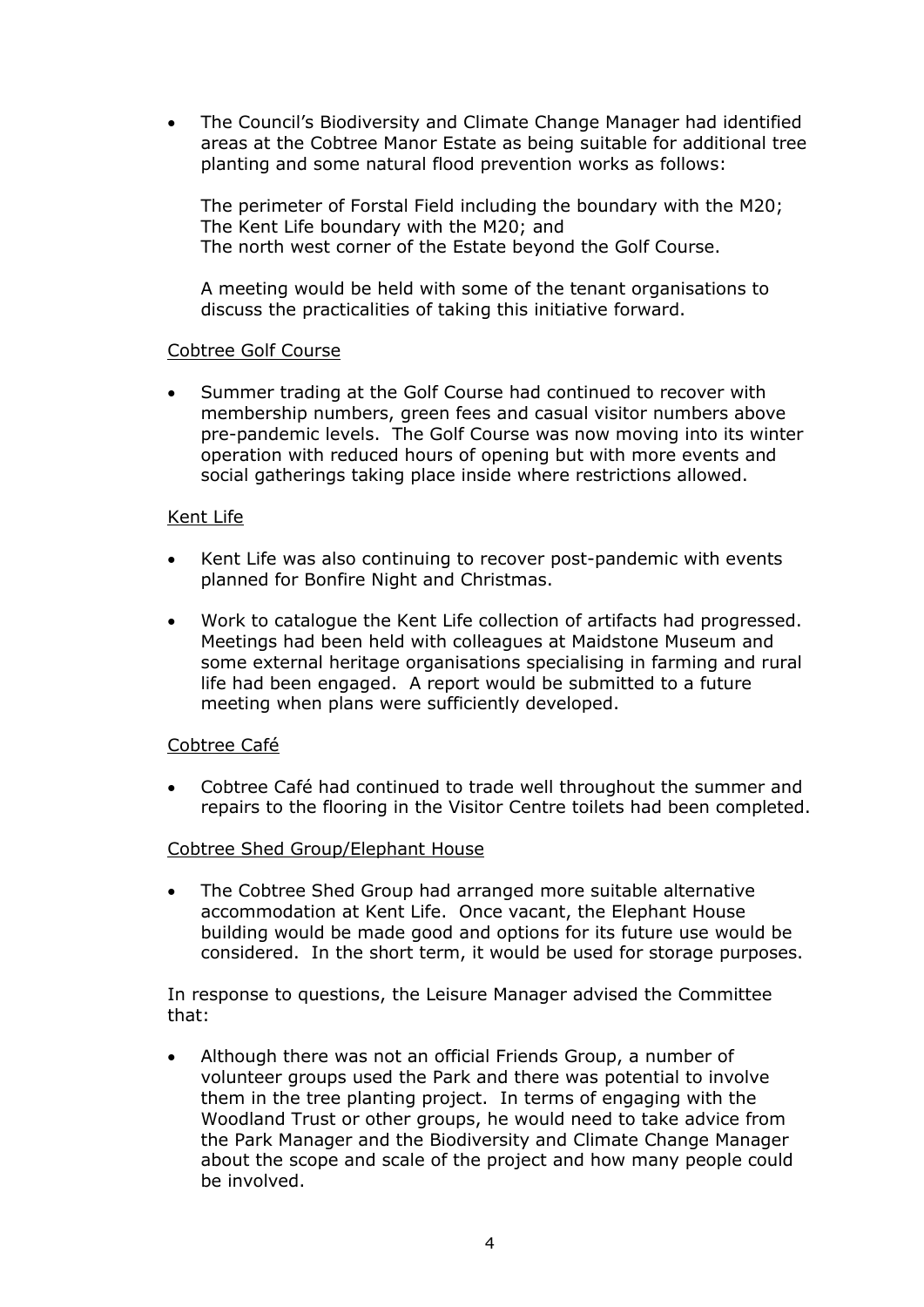• The Council's Biodiversity and Climate Change Manager had identified areas at the Cobtree Manor Estate as being suitable for additional tree planting and some natural flood prevention works as follows:

The perimeter of Forstal Field including the boundary with the M20; The Kent Life boundary with the M20; and The north west corner of the Estate beyond the Golf Course.

A meeting would be held with some of the tenant organisations to discuss the practicalities of taking this initiative forward.

# Cobtree Golf Course

Summer trading at the Golf Course had continued to recover with membership numbers, green fees and casual visitor numbers above pre-pandemic levels. The Golf Course was now moving into its winter operation with reduced hours of opening but with more events and social gatherings taking place inside where restrictions allowed.

# Kent Life

- Kent Life was also continuing to recover post-pandemic with events planned for Bonfire Night and Christmas.
- Work to catalogue the Kent Life collection of artifacts had progressed. Meetings had been held with colleagues at Maidstone Museum and some external heritage organisations specialising in farming and rural life had been engaged. A report would be submitted to a future meeting when plans were sufficiently developed.

# Cobtree Café

• Cobtree Café had continued to trade well throughout the summer and repairs to the flooring in the Visitor Centre toilets had been completed.

### Cobtree Shed Group/Elephant House

• The Cobtree Shed Group had arranged more suitable alternative accommodation at Kent Life. Once vacant, the Elephant House building would be made good and options for its future use would be considered. In the short term, it would be used for storage purposes.

In response to questions, the Leisure Manager advised the Committee that:

• Although there was not an official Friends Group, a number of volunteer groups used the Park and there was potential to involve them in the tree planting project. In terms of engaging with the Woodland Trust or other groups, he would need to take advice from the Park Manager and the Biodiversity and Climate Change Manager about the scope and scale of the project and how many people could be involved.